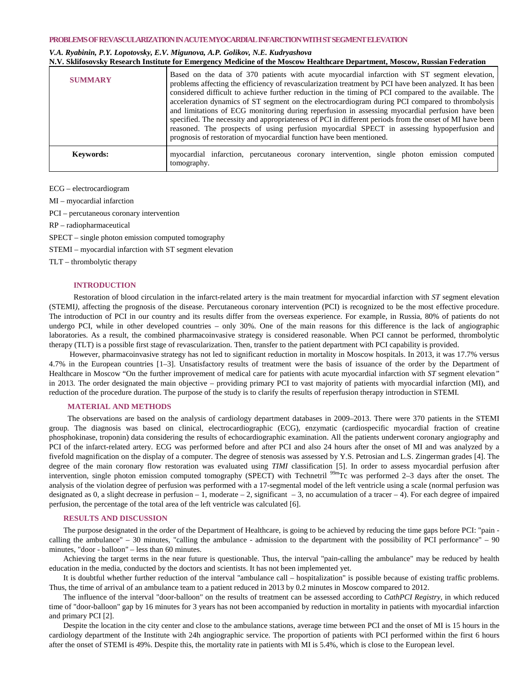## **PROBLEMS OF REVASCULARIZATION IN ACUTE MYOCARDIAL INFARCTIONWITH ST SEGMENT ELEVATION**

## *V.A. Ryabinin, P.Y. Lopotovsky, E.V. Migunova, A.P. Golikov, N.E. Kudryashova*  **N.V. Sklifosovsky Research Institute for Emergency Medicine of the Moscow Healthcare Department, Moscow, Russian Federation**

| <b>SUMMARY</b> | Based on the data of 370 patients with acute myocardial infarction with ST segment elevation,<br>problems affecting the efficiency of revascularization treatment by PCI have been analyzed. It has been<br>considered difficult to achieve further reduction in the timing of PCI compared to the available. The<br>acceleration dynamics of ST segment on the electrocardiogram during PCI compared to thrombolysis<br>and limitations of ECG monitoring during reperfusion in assessing myocardial perfusion have been<br>specified. The necessity and appropriateness of PCI in different periods from the onset of MI have been<br>reasoned. The prospects of using perfusion myocardial SPECT in assessing hypoperfusion and<br>prognosis of restoration of myocardial function have been mentioned. |
|----------------|------------------------------------------------------------------------------------------------------------------------------------------------------------------------------------------------------------------------------------------------------------------------------------------------------------------------------------------------------------------------------------------------------------------------------------------------------------------------------------------------------------------------------------------------------------------------------------------------------------------------------------------------------------------------------------------------------------------------------------------------------------------------------------------------------------|
| Keywords:      | myocardial infarction, percutaneous coronary intervention, single photon emission computed<br>tomography.                                                                                                                                                                                                                                                                                                                                                                                                                                                                                                                                                                                                                                                                                                  |

ECG – electrocardiogram

MI – myocardial infarction

PCI – percutaneous coronary intervention

RP – radiopharmaceutical

SPECT – single photon emission computed tomography

STEMI – myocardial infarction with ST segment elevation

TLT – thrombolytic therapy

## **INTRODUCTION**

Restoration of blood circulation in the infarct-related artery is the main treatment for myocardial infarction with *ST* segment elevation (STEMI*),* affecting the prognosis of the disease. Percutaneous coronary intervention (PCI) is recognized to be the most effective procedure. The introduction of PCI in our country and its results differ from the overseas experience. For example, in Russia, 80% of patients do not undergo PCI, while in other developed countries – only 30%. One of the main reasons for this difference is the lack of angiographic laboratories. As a result, the combined pharmacoinvasive strategy is considered reasonable. When PCI cannot be performed, thrombolytic therapy (TLT) is a possible first stage of revascularization. Then, transfer to the patient department with PCI capability is provided.

However, pharmacoinvasive strategy has not led to significant reduction in mortality in Moscow hospitals. In 2013, it was 17.7% versus 4.7% in the European countries [1–3]. Unsatisfactory results of treatment were the basis of issuance of the order by the Department of Healthcare in Moscow "On the further improvement of medical care for patients with acute myocardial infarction with *ST* segment elevation*"* in 2013*.* The order designated the main objective – providing primary PCI to vast majority of patients with myocardial infarction (MI), and reduction of the procedure duration. The purpose of the study is to clarify the results of reperfusion therapy introduction in STEMI*.*

# **MATERIAL AND METHODS**

The observations are based on the analysis of cardiology department databases in 2009–2013. There were 370 patients in the STEMI group*.* The diagnosis was based on clinical, electrocardiographic (ECG), enzymatic (cardiospecific myocardial fraction of creatine phosphokinase, troponin) data considering the results of echocardiographic examination. All the patients underwent coronary angiography and PCI of the infarct-related artery. ECG was performed before and after PCI and also 24 hours after the onset of MI and was analyzed by a fivefold magnification on the display of a computer. The degree of stenosis was assessed by Y.S. Petrosian and L.S. Zingerman grades [4]. The degree of the main coronary flow restoration was evaluated using *TIMI* classification [5]. In order to assess myocardial perfusion after intervention, single photon emission computed tomography (SPECT) with Technetril <sup>99*m*</sup>Tc was performed 2–3 days after the onset. The analysis of the violation degree of perfusion was performed with a 17-segmental model of the left ventricle using a scale (normal perfusion was designated as 0, a slight decrease in perfusion – 1, moderate – 2, significant – 3, no accumulation of a tracer – 4). For each degree of impaired perfusion, the percentage of the total area of the left ventricle was calculated [6].

## **RESULTS AND DISCUSSION**

The purpose designated in the order of the Department of Healthcare, is going to be achieved by reducing the time gaps before PCI: "pain calling the ambulance" – 30 minutes, "calling the ambulance - admission to the department with the possibility of PCI performance" – 90 minutes, "door - balloon" – less than 60 minutes.

Achieving the target terms in the near future is questionable. Thus, the interval "pain-calling the ambulance" may be reduced by health education in the media, conducted by the doctors and scientists. It has not been implemented yet.

It is doubtful whether further reduction of the interval "ambulance call – hospitalization" is possible because of existing traffic problems. Thus, the time of arrival of an ambulance team to a patient reduced in 2013 by 0.2 minutes in Moscow compared to 2012.

The influence of the interval "door-balloon" on the results of treatment can be assessed according to *CathPCI Registry,* in which reduced time of "door-balloon" gap by 16 minutes for 3 years has not been accompanied by reduction in mortality in patients with myocardial infarction and primary PCI [2].

Despite the location in the city center and close to the ambulance stations, average time between PCI and the onset of MI is 15 hours in the cardiology department of the Institute with 24h angiographic service. The proportion of patients with PCI performed within the first 6 hours after the onset of STEMI is 49%. Despite this, the mortality rate in patients with MI is 5.4%, which is close to the European level.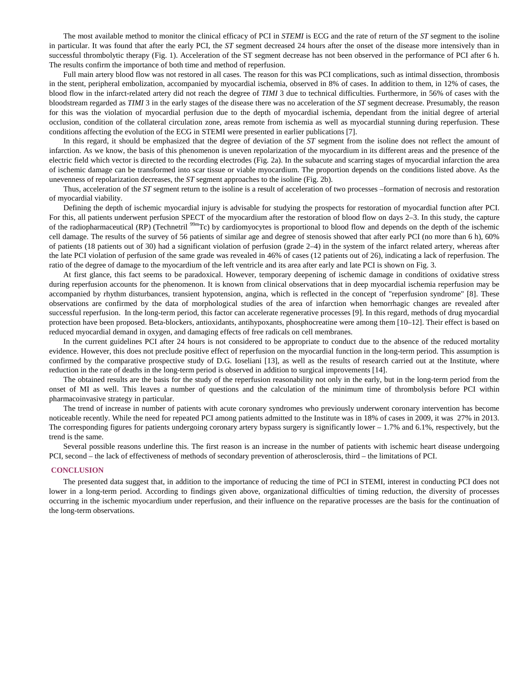The most available method to monitor the clinical efficacy of PCI in *STEMI* is ECG and the rate of return of the *ST* segment to the isoline in particular. It was found that after the early PCI, the *ST* segment decreased 24 hours after the onset of the disease more intensively than in successful thrombolytic therapy (Fig. 1). Acceleration of the ST segment decrease has not been observed in the performance of PCI after 6 h. The results confirm the importance of both time and method of reperfusion.

Full main artery blood flow was not restored in all cases. The reason for this was PCI complications, such as intimal dissection, thrombosis in the stent, peripheral embolization, accompanied by myocardial ischemia, observed in 8% of cases. In addition to them, in 12% of cases, the blood flow in the infarct-related artery did not reach the degree of *TIMI* 3 due to technical difficulties. Furthermore, in 56% of cases with the bloodstream regarded as *TIMI* 3 in the early stages of the disease there was no acceleration of the *ST* segment decrease. Presumably, the reason for this was the violation of myocardial perfusion due to the depth of myocardial ischemia, dependant from the initial degree of arterial occlusion, condition of the collateral circulation zone, areas remote from ischemia as well as myocardial stunning during reperfusion. These conditions affecting the evolution of the ECG in STEMI were presented in earlier publications [7].

In this regard, it should be emphasized that the degree of deviation of the *ST* segment from the isoline does not reflect the amount of infarction. As we know, the basis of this phenomenon is uneven repolarization of the myocardium in its different areas and the presence of the electric field which vector is directed to the recording electrodes (Fig. 2a). In the subacute and scarring stages of myocardial infarction the area of ischemic damage can be transformed into scar tissue or viable myocardium. The proportion depends on the conditions listed above. As the unevenness of repolarization decreases, the *ST* segment approaches to the isoline (Fig. 2b).

Thus, acceleration of the *ST* segment return to the isoline is a result of acceleration of two processes –formation of necrosis and restoration of myocardial viability.

Defining the depth of ischemic myocardial injury is advisable for studying the prospects for restoration of myocardial function after PCI. For this, all patients underwent perfusion SPECT of the myocardium after the restoration of blood flow on days 2–3. In this study, the capture of the radiopharmaceutical (RP) (Technetril <sup>99</sup>*<sup>m</sup>*Tc) by cardiomyocytes is proportional to blood flow and depends on the depth of the ischemic cell damage. The results of the survey of 56 patients of similar age and degree of stenosis showed that after early PCI (no more than 6 h), 60% of patients (18 patients out of 30) had a significant violation of perfusion (grade 2–4) in the system of the infarct related artery, whereas after the late PCI violation of perfusion of the same grade was revealed in 46% of cases (12 patients out of 26), indicating a lack of reperfusion. The ratio of the degree of damage to the myocardium of the left ventricle and its area after early and late PCI is shown on Fig. 3.

At first glance, this fact seems to be paradoxical. However, temporary deepening of ischemic damage in conditions of oxidative stress during reperfusion accounts for the phenomenon. It is known from clinical observations that in deep myocardial ischemia reperfusion may be accompanied by rhythm disturbances, transient hypotension, angina, which is reflected in the concept of "reperfusion syndrome" [8]. These observations are confirmed by the data of morphological studies of the area of infarction when hemorrhagic changes are revealed after successful reperfusion. In the long-term period, this factor can accelerate regenerative processes [9]. In this regard, methods of drug myocardial protection have been proposed. Beta-blockers, antioxidants, antihypoxants, phosphocreatine were among them [10–12]. Their effect is based on reduced myocardial demand in oxygen, and damaging effects of free radicals on cell membranes.

In the current guidelines PCI after 24 hours is not considered to be appropriate to conduct due to the absence of the reduced mortality evidence. However, this does not preclude positive effect of reperfusion on the myocardial function in the long-term period. This assumption is confirmed by the comparative prospective study of D.G. Ioseliani [13], as well as the results of research carried out at the Institute, where reduction in the rate of deaths in the long-term period is observed in addition to surgical improvements [14].

The obtained results are the basis for the study of the reperfusion reasonability not only in the early, but in the long-term period from the onset of MI as well. This leaves a number of questions and the calculation of the minimum time of thrombolysis before PCI within pharmacoinvasive strategy in particular.

The trend of increase in number of patients with acute coronary syndromes who previously underwent coronary intervention has become noticeable recently. While the need for repeated PCI among patients admitted to the Institute was in 18% of cases in 2009, it was 27% in 2013. The corresponding figures for patients undergoing coronary artery bypass surgery is significantly lower – 1.7% and 6.1%, respectively, but the trend is the same.

Several possible reasons underline this. The first reason is an increase in the number of patients with ischemic heart disease undergoing PCI, second – the lack of effectiveness of methods of secondary prevention of atherosclerosis, third – the limitations of PCI.

#### **CONCLUSION**

The presented data suggest that, in addition to the importance of reducing the time of PCI in STEMI*,* interest in conducting PCI does not lower in a long-term period. According to findings given above, organizational difficulties of timing reduction, the diversity of processes occurring in the ischemic myocardium under reperfusion, and their influence on the reparative processes are the basis for the continuation of the long-term observations.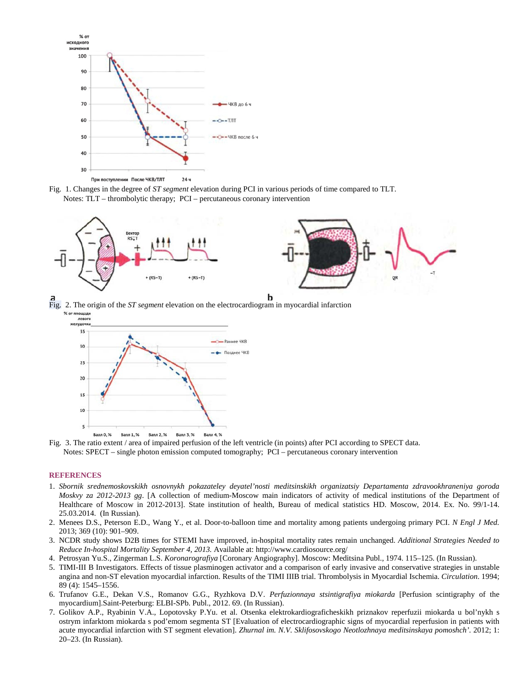

Fig. 1. Changes in the degree of *ST segment* elevation during PCI in various periods of time compared to TLT. Notes: TLT – thrombolytic therapy; PCI – percutaneous coronary intervention



Fig. 2. The origin of the *ST segment* elevation on the electrocardiogram in myocardial infarction<br><sup>%</sup> or nongage needs





### **REFERENCES**

- 1. *Sbornik srednemoskovskikh osnovnykh pokazateley deyatel'nosti meditsinskikh organizatsiy Departamenta zdravookhraneniya goroda Moskvy za 2012-2013 gg*. [A collection of medium-Moscow main indicators of activity of medical institutions of the Department of Healthcare of Moscow in 2012-2013]. State institution of health, Bureau of medical statistics HD. Moscow, 2014. Ex. No. 99/1-14. 25.03.2014. (In Russian).
- 2. Menees D.S., Peterson E.D., Wang Y., et al. Door-to-balloon time and mortality among patients undergoing primary PCI. *N Engl J Med.* 2013; 369 (10): 901–909.
- 3. NCDR study shows D2B times for STEMI have improved, in-hospital mortality rates remain unchanged. *Additional Strategies Needed to Reduce In-hospital Mortality September 4, 2013.* Available at: http://www.cardiosource.org/
- 4. Petrosyan Yu.S., Zingerman L.S. *Koronarografiya* [Coronary Angiography]. Moscow: Meditsina Publ., 1974. 115–125. (In Russian).
- 5. TIMI-III B Investigators. Effects of tissue plasminogen activator and a comparison of early invasive and conservative strategies in unstable angina and non-ST elevation myocardial infarction. Results of the TIMI IIIB trial. Thrombolysis in Myocardial Ischemia. *Circulation*. 1994; 89 (4): 1545–1556.
- 6. Trufanov G.E., Dekan V.S., Romanov G.G., Ryzhkova D.V. *Perfuzionnaya stsintigrafiya miokarda* [Perfusion scintigraphy of the myocardium].Saint-Peterburg: ELBI-SPb. Publ., 2012. 69. (In Russian).
- 7. Golikov A.P., Ryabinin V.A., Lopotovsky P.Yu. et al. Otsenka elektrokardiograficheskikh priznakov reperfuzii miokarda u bol'nykh s ostrym infarktom miokarda s pod'emom segmenta ST [Evaluation of electrocardiographic signs of myocardial reperfusion in patients with acute myocardial infarction with ST segment elevation]. *Zhurnal im. N.V. Sklifosovskogo Neotlozhnaya meditsinskaya pomoshch'.* 2012; 1: 20–23. (In Russian).